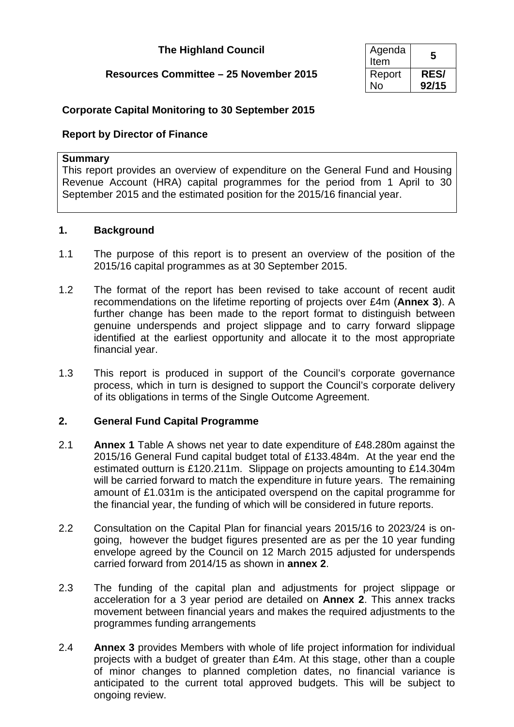# **The Highland Council**

# **Resources Committee – 25 November 2015**

| Agenda<br>Item | 5           |
|----------------|-------------|
| Report         | <b>RES/</b> |
| N٥             | 92/15       |

# **Corporate Capital Monitoring to 30 September 2015**

### **Report by Director of Finance**

#### **Summary**

This report provides an overview of expenditure on the General Fund and Housing Revenue Account (HRA) capital programmes for the period from 1 April to 30 September 2015 and the estimated position for the 2015/16 financial year.

### **1. Background**

- 1.1 The purpose of this report is to present an overview of the position of the 2015/16 capital programmes as at 30 September 2015.
- 1.2 The format of the report has been revised to take account of recent audit recommendations on the lifetime reporting of projects over £4m (**Annex 3**). A further change has been made to the report format to distinguish between genuine underspends and project slippage and to carry forward slippage identified at the earliest opportunity and allocate it to the most appropriate financial year.
- 1.3 This report is produced in support of the Council's corporate governance process, which in turn is designed to support the Council's corporate delivery of its obligations in terms of the Single Outcome Agreement.

### **2. General Fund Capital Programme**

- 2.1 **Annex 1** Table A shows net year to date expenditure of £48.280m against the 2015/16 General Fund capital budget total of £133.484m. At the year end the estimated outturn is £120.211m. Slippage on projects amounting to £14.304m will be carried forward to match the expenditure in future years. The remaining amount of £1.031m is the anticipated overspend on the capital programme for the financial year, the funding of which will be considered in future reports.
- 2.2 Consultation on the Capital Plan for financial years 2015/16 to 2023/24 is ongoing, however the budget figures presented are as per the 10 year funding envelope agreed by the Council on 12 March 2015 adjusted for underspends carried forward from 2014/15 as shown in **annex 2**.
- 2.3 The funding of the capital plan and adjustments for project slippage or acceleration for a 3 year period are detailed on **Annex 2**. This annex tracks movement between financial years and makes the required adjustments to the programmes funding arrangements
- 2.4 **Annex 3** provides Members with whole of life project information for individual projects with a budget of greater than £4m. At this stage, other than a couple of minor changes to planned completion dates, no financial variance is anticipated to the current total approved budgets. This will be subject to ongoing review.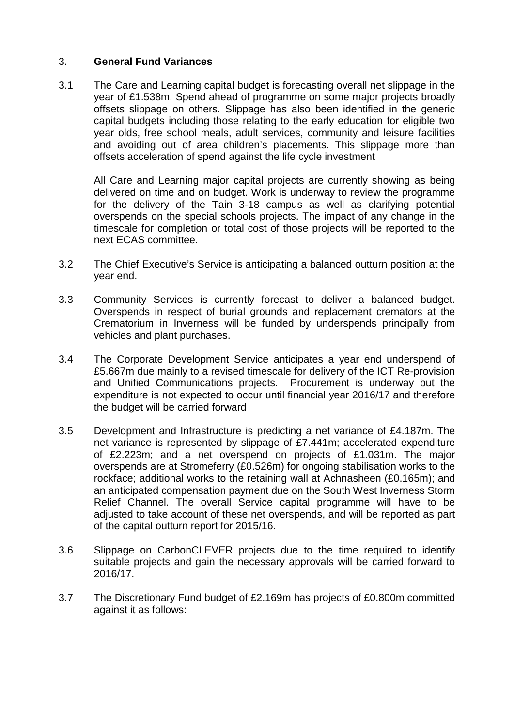### 3. **General Fund Variances**

3.1 The Care and Learning capital budget is forecasting overall net slippage in the year of £1.538m. Spend ahead of programme on some major projects broadly offsets slippage on others. Slippage has also been identified in the generic capital budgets including those relating to the early education for eligible two year olds, free school meals, adult services, community and leisure facilities and avoiding out of area children's placements. This slippage more than offsets acceleration of spend against the life cycle investment

All Care and Learning major capital projects are currently showing as being delivered on time and on budget. Work is underway to review the programme for the delivery of the Tain 3-18 campus as well as clarifying potential overspends on the special schools projects. The impact of any change in the timescale for completion or total cost of those projects will be reported to the next ECAS committee.

- 3.2 The Chief Executive's Service is anticipating a balanced outturn position at the year end.
- 3.3 Community Services is currently forecast to deliver a balanced budget. Overspends in respect of burial grounds and replacement cremators at the Crematorium in Inverness will be funded by underspends principally from vehicles and plant purchases.
- 3.4 The Corporate Development Service anticipates a year end underspend of £5.667m due mainly to a revised timescale for delivery of the ICT Re-provision and Unified Communications projects. Procurement is underway but the expenditure is not expected to occur until financial year 2016/17 and therefore the budget will be carried forward
- 3.5 Development and Infrastructure is predicting a net variance of £4.187m. The net variance is represented by slippage of £7.441m; accelerated expenditure of £2.223m; and a net overspend on projects of £1.031m. The major overspends are at Stromeferry (£0.526m) for ongoing stabilisation works to the rockface; additional works to the retaining wall at Achnasheen (£0.165m); and an anticipated compensation payment due on the South West Inverness Storm Relief Channel. The overall Service capital programme will have to be adjusted to take account of these net overspends, and will be reported as part of the capital outturn report for 2015/16.
- 3.6 Slippage on CarbonCLEVER projects due to the time required to identify suitable projects and gain the necessary approvals will be carried forward to 2016/17.
- 3.7 The Discretionary Fund budget of £2.169m has projects of £0.800m committed against it as follows: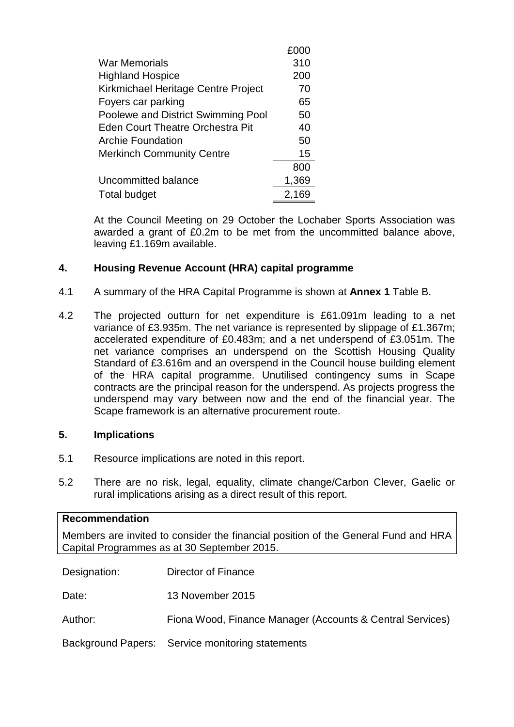|                                         | £000  |
|-----------------------------------------|-------|
| War Memorials                           | 310   |
| <b>Highland Hospice</b>                 | 200   |
| Kirkmichael Heritage Centre Project     | 70    |
| Foyers car parking                      | 65    |
| Poolewe and District Swimming Pool      | 50    |
| <b>Eden Court Theatre Orchestra Pit</b> | 40    |
| <b>Archie Foundation</b>                | 50    |
| <b>Merkinch Community Centre</b>        | 15    |
|                                         | 800   |
| Uncommitted balance                     | 1,369 |
| <b>Total budget</b>                     | 2,169 |

At the Council Meeting on 29 October the Lochaber Sports Association was awarded a grant of £0.2m to be met from the uncommitted balance above, leaving £1.169m available.

### **4. Housing Revenue Account (HRA) capital programme**

- 4.1 A summary of the HRA Capital Programme is shown at **Annex 1** Table B.
- 4.2 The projected outturn for net expenditure is £61.091m leading to a net variance of £3.935m. The net variance is represented by slippage of £1.367m; accelerated expenditure of £0.483m; and a net underspend of £3.051m. The net variance comprises an underspend on the Scottish Housing Quality Standard of £3.616m and an overspend in the Council house building element of the HRA capital programme. Unutilised contingency sums in Scape contracts are the principal reason for the underspend. As projects progress the underspend may vary between now and the end of the financial year. The Scape framework is an alternative procurement route.

### **5. Implications**

- 5.1 Resource implications are noted in this report.
- 5.2 There are no risk, legal, equality, climate change/Carbon Clever, Gaelic or rural implications arising as a direct result of this report.

| <b>Recommendation</b>                                                                                                             |                                                           |  |  |  |  |  |  |  |  |
|-----------------------------------------------------------------------------------------------------------------------------------|-----------------------------------------------------------|--|--|--|--|--|--|--|--|
| Members are invited to consider the financial position of the General Fund and HRA<br>Capital Programmes as at 30 September 2015. |                                                           |  |  |  |  |  |  |  |  |
|                                                                                                                                   |                                                           |  |  |  |  |  |  |  |  |
| Designation:                                                                                                                      | Director of Finance                                       |  |  |  |  |  |  |  |  |
| Date:                                                                                                                             | 13 November 2015                                          |  |  |  |  |  |  |  |  |
| Author:                                                                                                                           | Fiona Wood, Finance Manager (Accounts & Central Services) |  |  |  |  |  |  |  |  |
|                                                                                                                                   | Background Papers: Service monitoring statements          |  |  |  |  |  |  |  |  |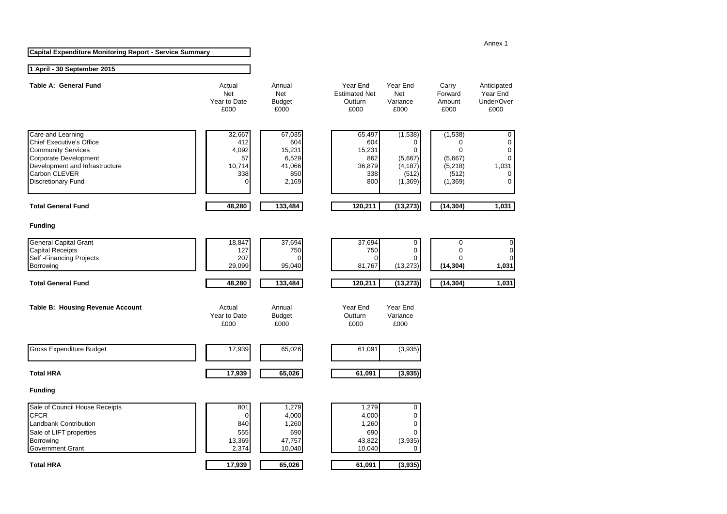| <b>Capital Expenditure Monitoring Report - Service Summary</b> |
|----------------------------------------------------------------|
|----------------------------------------------------------------|

#### **1 April - 30 September 2015**

| Table A: General Fund                                                                                                                                                                      | Actual<br><b>Net</b><br>Year to Date<br>£000        | Annual<br><b>Net</b><br><b>Budget</b><br>£000              | Year End<br><b>Estimated Net</b><br>Outturn<br>£000    | Year End<br><b>Net</b><br>Variance<br>£000                    | Carry<br>Forward<br>Amount<br>£000                                              | Anticipated<br>Year End<br>Under/Over<br>£000                               |
|--------------------------------------------------------------------------------------------------------------------------------------------------------------------------------------------|-----------------------------------------------------|------------------------------------------------------------|--------------------------------------------------------|---------------------------------------------------------------|---------------------------------------------------------------------------------|-----------------------------------------------------------------------------|
| Care and Learning<br><b>Chief Executive's Office</b><br><b>Community Services</b><br>Corporate Development<br>Development and Infrastructure<br>Carbon CLEVER<br><b>Discretionary Fund</b> | 32,667<br>412<br>4,092<br>57<br>10,714<br>338<br>0  | 67,035<br>604<br>15,231<br>6,529<br>41,066<br>850<br>2,169 | 65,497<br>604<br>15,231<br>862<br>36,879<br>338<br>800 | (1,538)<br>0<br>0<br>(5,667)<br>(4, 187)<br>(512)<br>(1, 369) | (1, 538)<br>$\Omega$<br>$\mathbf 0$<br>(5,667)<br>(5, 218)<br>(512)<br>(1, 369) | 0<br>$\mathbf 0$<br>$\mathbf 0$<br>$\mathbf 0$<br>1,031<br>$\mathbf 0$<br>0 |
| <b>Total General Fund</b>                                                                                                                                                                  | 48,280                                              | 133,484                                                    | 120,211                                                | (13, 273)                                                     | (14, 304)                                                                       | 1,031                                                                       |
| <b>Funding</b>                                                                                                                                                                             |                                                     |                                                            |                                                        |                                                               |                                                                                 |                                                                             |
| <b>General Capital Grant</b><br><b>Capital Receipts</b><br>Self - Financing Projects<br>Borrowing<br><b>Total General Fund</b>                                                             | 18,847<br>127<br>207<br>29,099<br>48,280            | 37,694<br>750<br>$\Omega$<br>95,040<br>133,484             | 37,694<br>750<br>0<br>81,767<br>120,211                | 0<br>0<br>0<br>(13, 273)<br>(13, 273)                         | 0<br>$\mathbf 0$<br>$\Omega$<br>(14, 304)<br>(14, 304)                          | $\mathbf 0$<br>$\pmb{0}$<br>0<br>1,031<br>1,031                             |
| Table B: Housing Revenue Account                                                                                                                                                           | Actual<br>Year to Date<br>£000                      | Annual<br><b>Budget</b><br>£000                            | Year End<br>Outturn<br>£000                            | Year End<br>Variance<br>£000                                  |                                                                                 |                                                                             |
| <b>Gross Expenditure Budget</b>                                                                                                                                                            | 17,939                                              | 65,026                                                     | 61,091                                                 | (3,935)                                                       |                                                                                 |                                                                             |
| <b>Total HRA</b>                                                                                                                                                                           | 17,939                                              | 65,026                                                     | 61,091                                                 | (3,935)                                                       |                                                                                 |                                                                             |
| <b>Funding</b>                                                                                                                                                                             |                                                     |                                                            |                                                        |                                                               |                                                                                 |                                                                             |
| Sale of Council House Receipts<br><b>CFCR</b><br>Landbank Contribution<br>Sale of LIFT properties<br>Borrowing<br>Government Grant                                                         | 801<br>$\mathbf 0$<br>840<br>555<br>13,369<br>2,374 | 1,279<br>4,000<br>1,260<br>690<br>47,757<br>10,040         | 1,279<br>4,000<br>1,260<br>690<br>43,822<br>10,040     | 0<br>0<br>0<br>0<br>(3,935)<br>$\Omega$                       |                                                                                 |                                                                             |
| <b>Total HRA</b>                                                                                                                                                                           | 17,939                                              | 65,026                                                     | 61,091                                                 | (3,935)                                                       |                                                                                 |                                                                             |

#### Annex 1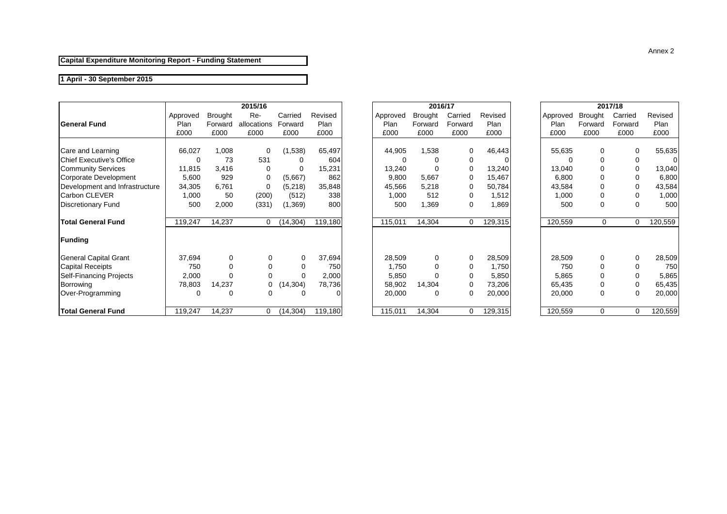#### **Capital Expenditure Monitoring Report - Funding Statement**

#### **1 April - 30 September 2015**

|                                  |          |                | 2015/16     |           |         |          |          | 2016/17  |         |          |         | 2017/18 |         |
|----------------------------------|----------|----------------|-------------|-----------|---------|----------|----------|----------|---------|----------|---------|---------|---------|
|                                  | Approved | <b>Brought</b> | Re-         | Carried   | Revised | Approved | Brought  | Carried  | Revised | Approved | Brought | Carried | Revised |
| <b>General Fund</b>              | Plan     | Forward        | allocations | Forward   | Plan    | Plan     | Forward  | Forward  | Plan    | Plan     | Forward | Forward | Plan    |
|                                  | £000     | £000           | £000        | £000      | £000    | £000     | £000     | £000     | £000    | £000     | £000    | £000    | £000    |
| Care and Learning                | 66,027   | 1,008          | 0           | (1,538)   | 65,497  | 44,905   | 1,538    |          | 46,443  | 55,635   | 0       |         | 55,635  |
| <b>IChief Executive's Office</b> |          | 73             | 531         |           | 604     |          |          |          |         |          | 0       | 0       |         |
| <b>Community Services</b>        | 11,815   | 3,416          |             |           | 15,231  | 13,240   |          |          | 13,240  | 13,040   | 0       | 0       | 13,040  |
| Corporate Development            | 5,600    | 929            | $\Omega$    | (5,667)   | 862     | 9,800    | 5,667    |          | 15,467  | 6,800    | 0       | 0       | 6,800   |
| Development and Infrastructure   | 34,305   | 6,761          | 0           | (5,218)   | 35,848  | 45,566   | 5,218    |          | 50,784  | 43,584   | 0       | 0       | 43,584  |
| Carbon CLEVER                    | 1,000    | 50             | (200)       | (512)     | 338     | 1,000    | 512      | 0        | 1,512   | 1,000    | 0       | 0       | 1,000   |
| <b>Discretionary Fund</b>        | 500      | 2,000          | (331)       | (1,369)   | 800     | 500      | 1,369    | 0        | 1,869   | 500      | 0       | 0       | 500     |
| <b>Total General Fund</b>        | 119,247  | 14,237         | 0           | (14, 304) | 119,180 | 115,011  | 14,304   | $\Omega$ | 129,315 | 120,559  | 0       | 0       | 120,559 |
| Funding                          |          |                |             |           |         |          |          |          |         |          |         |         |         |
| General Capital Grant            | 37,694   | 0              | 0           | 0         | 37,694  | 28,509   | $\Omega$ |          | 28,509  | 28,509   | 0       | 0       | 28,509  |
| <b>Capital Receipts</b>          | 750      |                |             |           | 750     | 1,750    | 0        |          | 1,750   | 750      | 0       | 0       | 750     |
| <b>Self-Financing Projects</b>   | 2,000    | $\Omega$       |             |           | 2,000   | 5,850    |          |          | 5,850   | 5,865    | 0       | 0       | 5,865   |
| Borrowing                        | 78,803   | 14,237         | 0           | (14,304)  | 78,736  | 58,902   | 14,304   |          | 73,206  | 65,435   | 0       | 0       | 65,435  |
| Over-Programming                 | 0        | $\Omega$       | 0           |           |         | 20,000   | $\Omega$ |          | 20,000  | 20,000   | 0       | 0       | 20,000  |
| <b>Total General Fund</b>        | 119,247  | 14,237         | 0           | (14, 304) | 119,180 | 115,011  | 14,304   |          | 129,315 | 120,559  | 0       | 0       | 120,559 |

| 2015/16     |           |         |          | 2016/17        |         |         |          | 2017/18        |
|-------------|-----------|---------|----------|----------------|---------|---------|----------|----------------|
| Re-         | Carried   | Revised | Approved | <b>Brought</b> | Carried | Revised | Approved | <b>Brought</b> |
| allocations | Forward   | Plan    | Plan     | Forward        | Forward | Plan    | Plan     | Forward        |
| £000        | £000      | £000    | £000     | £000           | £000    | £000    | £000     | £000           |
|             |           |         |          |                |         |         |          |                |
| 0           | (1,538)   | 65,497  | 44,905   | 1,538          | 0       | 46,443  | 55,635   | 0              |
| 531         | 0         | 604     | $\Omega$ | 0              | 0       | O       | 0        | 0              |
| 0           | 0         | 15,231  | 13,240   | $\Omega$       | 0       | 13,240  | 13,040   | 0              |
| 0           | (5,667)   | 862     | 9,800    | 5,667          | 0       | 15,467  | 6,800    | 0              |
| 0           | (5,218)   | 35,848  | 45,566   | 5,218          | 0       | 50,784  | 43,584   | 0              |
| (200)       | (512)     | 338     | 1,000    | 512            | 0       | 1,512   | 1,000    | 0              |
| (331)       | (1,369)   | 800     | 500      | 1,369          | 0       | 1,869   | 500      | 0              |
|             |           |         |          |                |         |         |          |                |
| 0           | (14, 304) | 119,180 | 115,011  | 14,304         | 0       | 129,315 | 120,559  | 0              |
|             |           |         |          |                |         |         |          |                |
|             |           |         |          |                |         |         |          |                |
| 0           | 0         | 37,694  | 28,509   | 0              | 0       | 28,509  | 28,509   | 0              |
| 0           | 0         | 750     | 1,750    | $\Omega$       | 0       | 1,750   | 750      | 0              |
| 0           | 0         | 2,000   | 5,850    | 0              | 0       | 5,850   | 5,865    | 0              |
|             |           |         |          |                |         |         |          |                |
| 0           | (14, 304) | 78,736  | 58,902   | 14,304         | 0       | 73,206  | 65,435   | 0              |
| 0           | 0         | 0       | 20,000   | 0              | 0       | 20,000  | 20,000   | 0              |
|             |           |         |          |                |         |         |          |                |
| 0           | (14, 304) | 119,180 | 115,011  | 14,304         | 0       | 129,315 | 120,559  | $\Omega$       |

|         | 2017/18                                          |             |         |  |  |  |  |  |  |  |
|---------|--------------------------------------------------|-------------|---------|--|--|--|--|--|--|--|
|         | Carried<br>Revised<br>Approved<br><b>Brought</b> |             |         |  |  |  |  |  |  |  |
| Plan    | Forward                                          | Forward     | Plan    |  |  |  |  |  |  |  |
| £000    | £000                                             | £000        |         |  |  |  |  |  |  |  |
|         |                                                  |             |         |  |  |  |  |  |  |  |
| 55,635  | 0                                                | 0           | 55,635  |  |  |  |  |  |  |  |
| 0       | 0                                                | 0           |         |  |  |  |  |  |  |  |
| 13,040  | 0                                                | 0           | 13,040  |  |  |  |  |  |  |  |
| 6,800   | 0                                                | 0           | 6,800   |  |  |  |  |  |  |  |
| 43,584  | 0                                                | 0           | 43,584  |  |  |  |  |  |  |  |
| 1,000   | 0                                                | 0           | 1,000   |  |  |  |  |  |  |  |
| 500     | 0                                                | 500<br>0    |         |  |  |  |  |  |  |  |
|         |                                                  |             |         |  |  |  |  |  |  |  |
| 120,559 | 0                                                | 0           | 120,559 |  |  |  |  |  |  |  |
|         |                                                  |             |         |  |  |  |  |  |  |  |
|         |                                                  |             |         |  |  |  |  |  |  |  |
|         |                                                  |             |         |  |  |  |  |  |  |  |
| 28,509  | 0                                                | 0           | 28,509  |  |  |  |  |  |  |  |
| 750     | 0                                                | 0           | 750     |  |  |  |  |  |  |  |
| 5,865   | 0                                                | 0           | 5,865   |  |  |  |  |  |  |  |
| 65,435  | 0                                                | 0           | 65,435  |  |  |  |  |  |  |  |
| 20,000  | 0                                                | 0<br>20,000 |         |  |  |  |  |  |  |  |
|         |                                                  |             |         |  |  |  |  |  |  |  |
| 120,559 | 0                                                | 0           | 120,559 |  |  |  |  |  |  |  |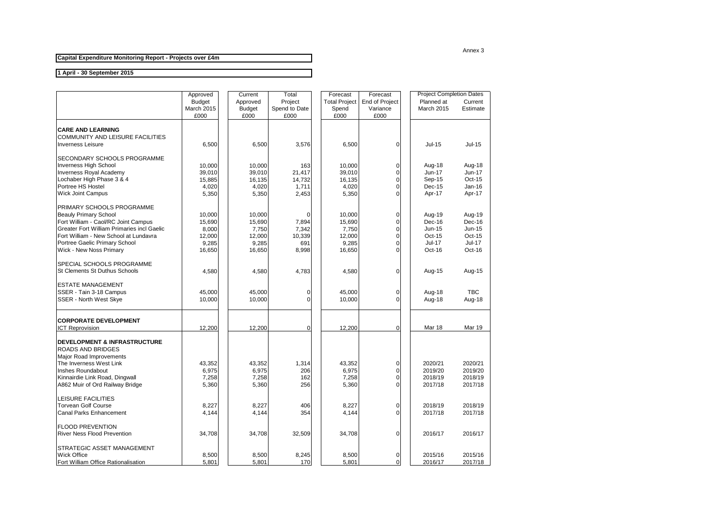#### Annex 3

**Capital Expenditure Monitoring Report - Projects over £4m**

#### **1 April - 30 September 2015**

|                                                   | Approved      | Current       | Total         | Forecast             | Forecast       | <b>Project Completion Dates</b> |               |
|---------------------------------------------------|---------------|---------------|---------------|----------------------|----------------|---------------------------------|---------------|
|                                                   | <b>Budget</b> | Approved      | Project       | <b>Total Project</b> | End of Project | Planned at                      | Current       |
|                                                   | March 2015    | <b>Budget</b> | Spend to Date | Spend                | Variance       | March 2015                      | Estimate      |
|                                                   | £000          | £000          | £000          | £000                 | £000           |                                 |               |
| <b>CARE AND LEARNING</b>                          |               |               |               |                      |                |                                 |               |
| COMMUNITY AND LEISURE FACILITIES                  |               |               |               |                      |                |                                 |               |
| <b>Inverness Leisure</b>                          | 6,500         | 6,500         | 3,576         | 6,500                | $\mathbf 0$    | <b>Jul-15</b>                   | Jul-15        |
|                                                   |               |               |               |                      |                |                                 |               |
| SECONDARY SCHOOLS PROGRAMME                       |               |               |               |                      |                |                                 |               |
| <b>Inverness High School</b>                      | 10,000        | 10,000        | 163           | 10,000               | $\pmb{0}$      | Aug-18                          | Aug-18        |
| <b>Inverness Royal Academy</b>                    | 39,010        | 39,010        | 21,417        | 39,010               | $\Omega$       | Jun-17                          | <b>Jun-17</b> |
| Lochaber High Phase 3 & 4                         | 15,885        | 16,135        | 14,732        | 16,135               | 0              | Sep-15                          | Oct-15        |
| Portree HS Hostel                                 | 4,020         | 4,020         | 1,711         | 4,020                | $\mathbf 0$    | Dec-15                          | Jan-16        |
| <b>Wick Joint Campus</b>                          | 5,350         | 5,350         | 2,453         | 5,350                | $\Omega$       | Apr-17                          | Apr-17        |
| PRIMARY SCHOOLS PROGRAMME                         |               |               |               |                      |                |                                 |               |
| <b>Beauly Primary School</b>                      | 10.000        | 10.000        | $\Omega$      | 10.000               | $\pmb{0}$      | Aug-19                          | Aug-19        |
| Fort William - Caol/RC Joint Campus               | 15,690        | 15,690        | 7,894         | 15,690               | $\mathbf 0$    | Dec-16                          | Dec-16        |
| <b>Greater Fort William Primaries incl Gaelic</b> | 8,000         | 7,750         | 7,342         | 7,750                | $\overline{0}$ | $Jun-15$                        | Jun-15        |
| Fort William - New School at Lundavra             | 12,000        | 12,000        | 10,339        | 12,000               | 0              | Oct-15                          | Oct-15        |
| Portree Gaelic Primary School                     | 9,285         | 9,285         | 691           | 9,285                | $\mathbf 0$    | <b>Jul-17</b>                   | <b>Jul-17</b> |
| Wick - New Noss Primary                           | 16,650        | 16,650        | 8,998         | 16,650               | $\Omega$       | Oct-16                          | Oct-16        |
|                                                   |               |               |               |                      |                |                                 |               |
| SPECIAL SCHOOLS PROGRAMME                         |               |               |               |                      |                |                                 |               |
| St Clements St Duthus Schools                     | 4,580         | 4,580         | 4,783         | 4,580                | $\mathbf 0$    | Aug-15                          | Aug-15        |
|                                                   |               |               |               |                      |                |                                 |               |
| <b>ESTATE MANAGEMENT</b>                          |               |               |               |                      |                |                                 |               |
| SSER - Tain 3-18 Campus                           | 45,000        | 45,000        | 0             | 45,000               | 0              | Aug-18                          | TBC           |
| SSER - North West Skye                            | 10,000        | 10,000        | $\Omega$      | 10,000               | $\Omega$       | Aug-18                          | Aug-18        |
|                                                   |               |               |               |                      |                |                                 |               |
| <b>CORPORATE DEVELOPMENT</b>                      |               |               |               |                      |                |                                 |               |
| <b>ICT Reprovision</b>                            | 12,200        | 12,200        | $\mathbf 0$   | 12,200               | 0              | Mar 18                          | Mar 19        |
| <b>DEVELOPMENT &amp; INFRASTRUCTURE</b>           |               |               |               |                      |                |                                 |               |
| <b>ROADS AND BRIDGES</b>                          |               |               |               |                      |                |                                 |               |
| Major Road Improvements                           |               |               |               |                      |                |                                 |               |
| The Inverness West Link                           | 43,352        | 43,352        | 1,314         | 43,352               | 0              | 2020/21                         | 2020/21       |
| Inshes Roundabout                                 | 6,975         | 6,975         | 206           | 6,975                | 0              | 2019/20                         | 2019/20       |
| Kinnairdie Link Road, Dingwall                    | 7,258         | 7,258         | 162           | 7,258                | $\mathbf 0$    | 2018/19                         | 2018/19       |
| A862 Muir of Ord Railway Bridge                   | 5,360         | 5,360         | 256           | 5,360                | $\Omega$       | 2017/18                         | 2017/18       |
|                                                   |               |               |               |                      |                |                                 |               |
| LEISURE FACILITIES                                |               |               |               |                      |                |                                 |               |
| <b>Torvean Golf Course</b>                        | 8,227         | 8,227         | 406           | 8,227                | $\mathbf 0$    | 2018/19                         | 2018/19       |
| <b>Canal Parks Enhancement</b>                    | 4,144         | 4,144         | 354           | 4,144                | $\Omega$       | 2017/18                         | 2017/18       |
| <b>FLOOD PREVENTION</b>                           |               |               |               |                      |                |                                 |               |
| River Ness Flood Prevention                       | 34,708        | 34,708        | 32,509        | 34,708               | 0              | 2016/17                         | 2016/17       |
| STRATEGIC ASSET MANAGEMENT                        |               |               |               |                      |                |                                 |               |
| <b>Wick Office</b>                                | 8,500         | 8,500         | 8,245         | 8,500                | 0              | 2015/16                         | 2015/16       |
| Fort William Office Rationalisation               | 5,801         | 5,801         | 170           | 5,801                | $\overline{0}$ | 2016/17                         | 2017/18       |